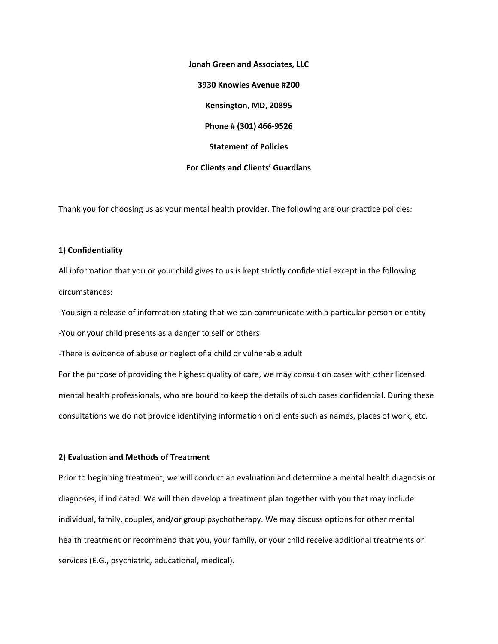**Jonah Green and Associates, LLC 3930 Knowles Avenue #200 Kensington, MD, 20895 Phone # (301) 466‐9526 Statement of Policies For Clients and Clients' Guardians** 

Thank you for choosing us as your mental health provider. The following are our practice policies:

### **1) Confidentiality**

All information that you or your child gives to us is kept strictly confidential except in the following circumstances:

‐You sign a release of information stating that we can communicate with a particular person or entity ‐You or your child presents as a danger to self or others

‐There is evidence of abuse or neglect of a child or vulnerable adult

For the purpose of providing the highest quality of care, we may consult on cases with other licensed mental health professionals, who are bound to keep the details of such cases confidential. During these consultations we do not provide identifying information on clients such as names, places of work, etc.

### **2) Evaluation and Methods of Treatment**

Prior to beginning treatment, we will conduct an evaluation and determine a mental health diagnosis or diagnoses, if indicated. We will then develop a treatment plan together with you that may include individual, family, couples, and/or group psychotherapy. We may discuss options for other mental health treatment or recommend that you, your family, or your child receive additional treatments or services (E.G., psychiatric, educational, medical).